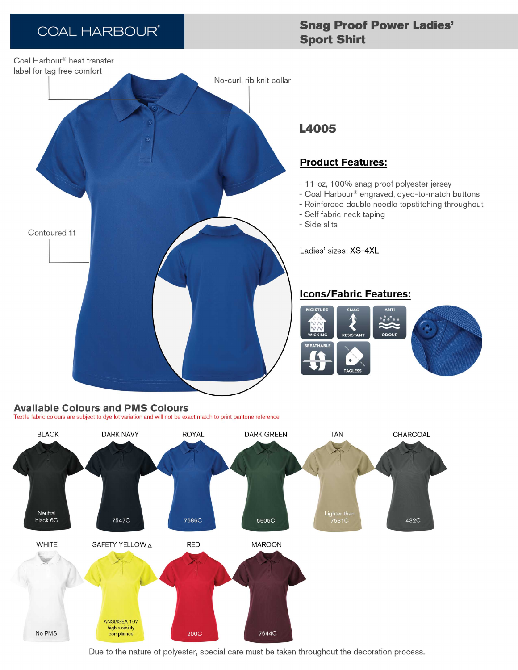# **COAL HARBOUR®**

## **Snag Proof Power Ladies' Sport Shirt**



## **L4005**

### **Product Features:**

- 11-oz, 100% snag proof polyester jersey
- Coal Harbour® engraved, dyed-to-match buttons
- Reinforced double needle topstitching throughout
- Self fabric neck taping
- Side slits

Ladies' sizes: XS-4XL

### **Icons/Fabric Features:**



#### **Available Colours and PMS Colours** Textile fabric colours are subject to dye lot variation and will not be exact match to print pantone reference

**BLACK DARK NAVY ROYAL DARK GREEN TAN** CHARCOAL ighter thai<br>7531C Neutral black 6C 7547C 7686C 5605C 432C **WHITE** SAFETY YELLOW A **RED MAROON** ANSI/ISEA 107 high visibility 7644C No PMS **200C** compliance

Due to the nature of polyester, special care must be taken throughout the decoration process.